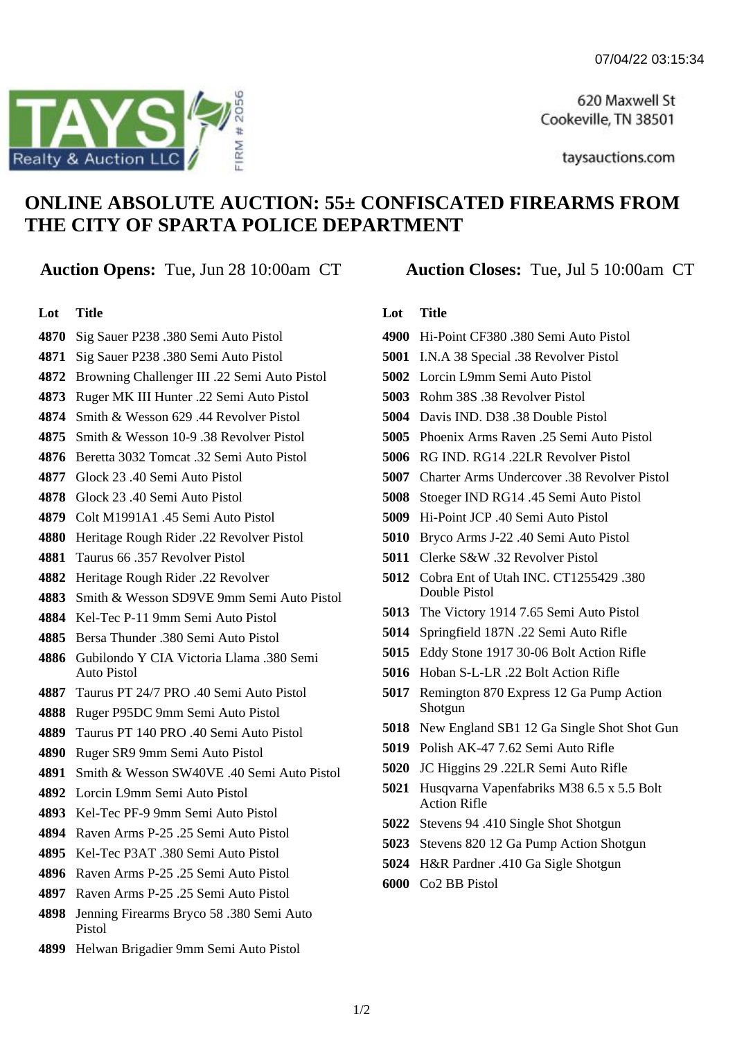620 Maxwell St Cookeville, TN 38501

taysauctions.com

# **ONLINE ABSOLUTE AUCTION: 55± CONFISCATED FIREARMS FROM THE CITY OF SPARTA POLICE DEPARTMENT**

## **Auction Opens:** Tue, Jun 28 10:00am CT **Auction Closes:** Tue, Jul 5 10:00am CT

#### **Lot Title**

- Sig Sauer P238 .380 Semi Auto Pistol
- Sig Sauer P238 .380 Semi Auto Pistol
- Browning Challenger III .22 Semi Auto Pistol
- Ruger MK III Hunter .22 Semi Auto Pistol
- Smith & Wesson 629 .44 Revolver Pistol
- Smith & Wesson 10-9 .38 Revolver Pistol
- Beretta 3032 Tomcat .32 Semi Auto Pistol
- Glock 23 .40 Semi Auto Pistol
- Glock 23 .40 Semi Auto Pistol
- Colt M1991A1 .45 Semi Auto Pistol
- Heritage Rough Rider .22 Revolver Pistol
- Taurus 66 .357 Revolver Pistol
- Heritage Rough Rider .22 Revolver
- Smith & Wesson SD9VE 9mm Semi Auto Pistol
- Kel-Tec P-11 9mm Semi Auto Pistol
- Bersa Thunder .380 Semi Auto Pistol
- Gubilondo Y CIA Victoria Llama .380 Semi Auto Pistol
- Taurus PT 24/7 PRO .40 Semi Auto Pistol
- Ruger P95DC 9mm Semi Auto Pistol
- Taurus PT 140 PRO .40 Semi Auto Pistol
- Ruger SR9 9mm Semi Auto Pistol
- Smith & Wesson SW40VE .40 Semi Auto Pistol
- Lorcin L9mm Semi Auto Pistol
- Kel-Tec PF-9 9mm Semi Auto Pistol
- Raven Arms P-25 .25 Semi Auto Pistol
- Kel-Tec P3AT .380 Semi Auto Pistol
- 4896 Raven Arms P-25 25 Semi Auto Pistol
- Raven Arms P-25 .25 Semi Auto Pistol
- Jenning Firearms Bryco 58 .380 Semi Auto Pistol
- Helwan Brigadier 9mm Semi Auto Pistol

### **Lot Title**

- Hi-Point CF380 .380 Semi Auto Pistol
- I.N.A 38 Special .38 Revolver Pistol
- Lorcin L9mm Semi Auto Pistol
- Rohm 38S .38 Revolver Pistol
- Davis IND D38 38 Double Pistol
- Phoenix Arms Raven .25 Semi Auto Pistol
- RG IND. RG14 .22LR Revolver Pistol
- Charter Arms Undercover .38 Revolver Pistol
- Stoeger IND RG14 .45 Semi Auto Pistol
- Hi-Point JCP .40 Semi Auto Pistol
- Bryco Arms J-22 .40 Semi Auto Pistol
- Clerke S&W .32 Revolver Pistol
- Cobra Ent of Utah INC. CT1255429 .380 Double Pistol
- The Victory 1914 7.65 Semi Auto Pistol
- Springfield 187N .22 Semi Auto Rifle
- Eddy Stone 1917 30-06 Bolt Action Rifle
- Hoban S-L-LR .22 Bolt Action Rifle
- Remington 870 Express 12 Ga Pump Action Shotgun
- New England SB1 12 Ga Single Shot Shot Gun
- Polish AK-47 7.62 Semi Auto Rifle
- JC Higgins 29 .22LR Semi Auto Rifle
- Husqvarna Vapenfabriks M38 6.5 x 5.5 Bolt Action Rifle
- Stevens 94 .410 Single Shot Shotgun
- Stevens 820 12 Ga Pump Action Shotgun
- H&R Pardner .410 Ga Sigle Shotgun
- Co2 BB Pistol